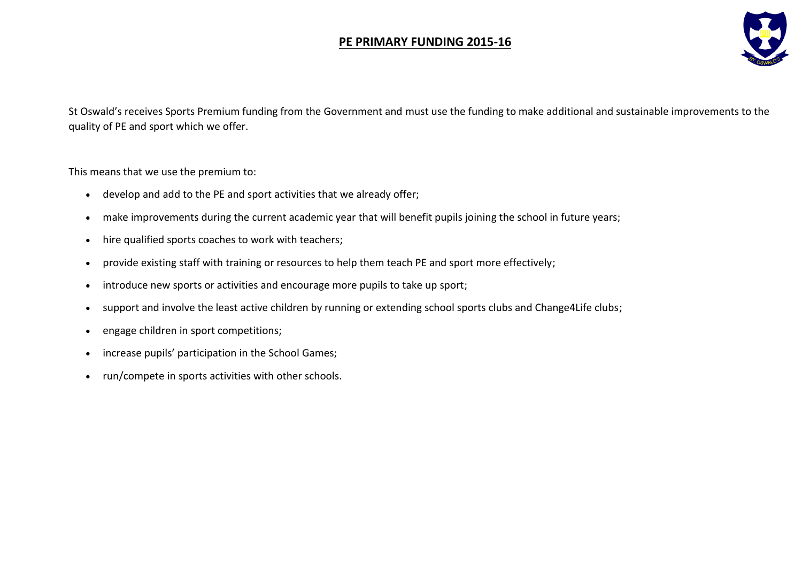## **PE PRIMARY FUNDING 2015-16**



St Oswald's receives Sports Premium funding from the Government and must use the funding to make additional and sustainable improvements to the quality of PE and sport which we offer.

This means that we use the premium to:

- develop and add to the PE and sport activities that we already offer;
- make improvements during the current academic year that will benefit pupils joining the school in future years;
- hire qualified sports coaches to work with teachers;
- provide existing staff with training or resources to help them teach PE and sport more effectively;
- introduce new sports or activities and encourage more pupils to take up sport;
- support and involve the least active children by running or extending school sports clubs and Change4Life clubs;
- engage children in sport competitions;
- increase pupils' participation in the School Games;
- run/compete in sports activities with other schools.